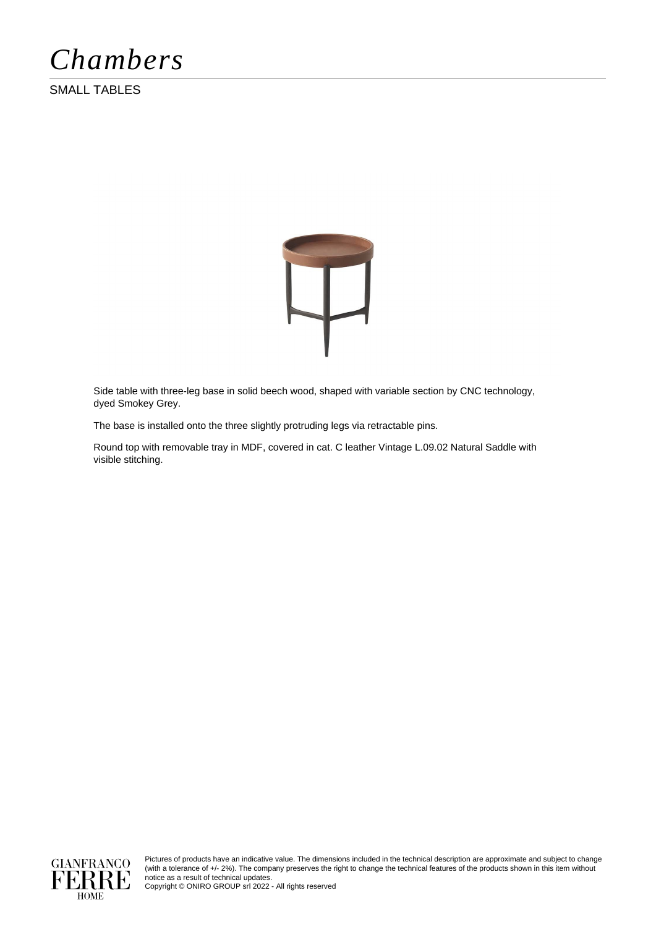*Chambers*

SMALL TABLES



Side table with three-leg base in solid beech wood, shaped with variable section by CNC technology, dyed Smokey Grey.

The base is installed onto the three slightly protruding legs via retractable pins.

Round top with removable tray in MDF, covered in cat. C leather Vintage L.09.02 Natural Saddle with visible stitching.



Pictures of products have an indicative value. The dimensions included in the technical description are approximate and subject to change (with a tolerance of +/- 2%). The company preserves the right to change the technical features of the products shown in this item without notice as a result of technical updates.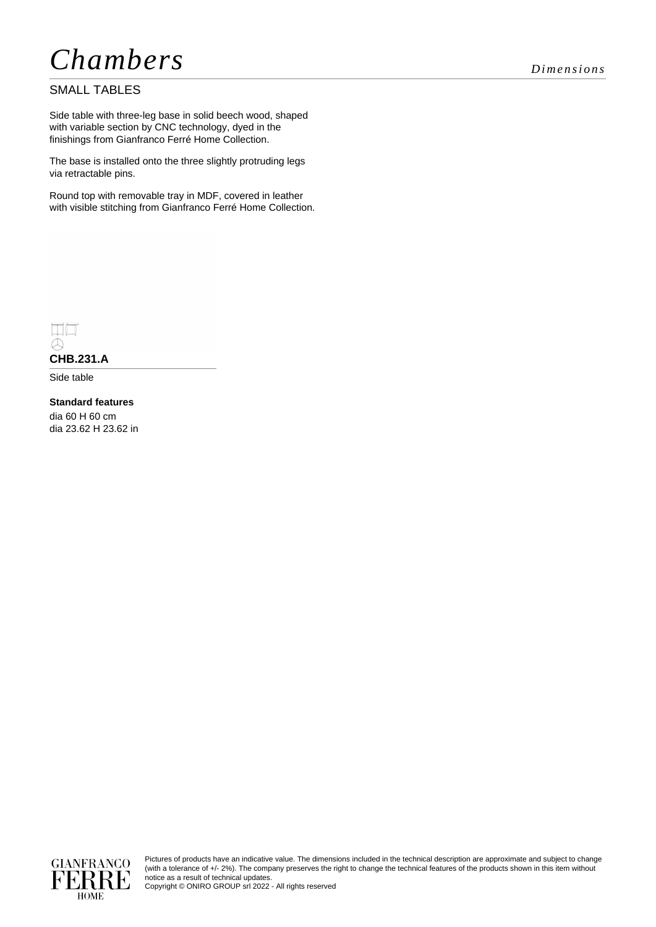# *Chambers Dimensions*

### SMALL TABLES

Side table with three-leg base in solid beech wood, shaped with variable section by CNC technology, dyed in the finishings from Gianfranco Ferré Home Collection.

The base is installed onto the three slightly protruding legs via retractable pins.

Round top with removable tray in MDF, covered in leather with visible stitching from Gianfranco Ferré Home Collection.



## **CHB.231.A**

Side table

#### **Standard features** dia 60 H 60 cm dia 23.62 H 23.62 in



Pictures of products have an indicative value. The dimensions included in the technical description are approximate and subject to change (with a tolerance of +/- 2%). The company preserves the right to change the technical features of the products shown in this item without notice as a result of technical updates.